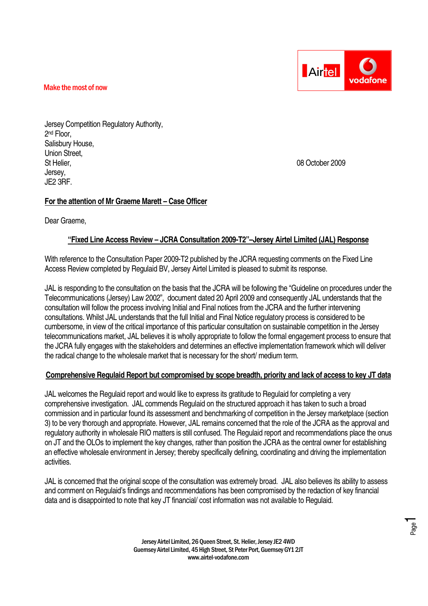

Jersey Competition Regulatory Authority, 2 nd Floor, Salisbury House, Union Street, St Helier, 08 October 2009 Jersey, JE2 3RF.

# **For the attention of Mr Graeme Marett – Case Officer**

Dear Graeme,

# **"Fixed Line Access Review – JCRA Consultation 2009-T2"–Jersey Airtel Limited (JAL) Response**

With reference to the Consultation Paper 2009-T2 published by the JCRA requesting comments on the Fixed Line Access Review completed by Regulaid BV, Jersey Airtel Limited is pleased to submit its response.

JAL is responding to the consultation on the basis that the JCRA will be following the "Guideline on procedures under the Telecommunications (Jersey) Law 2002", document dated 20 April 2009 and consequently JAL understands that the consultation will follow the process involving Initial and Final notices from the JCRA and the further intervening consultations. Whilst JAL understands that the full Initial and Final Notice regulatory process is considered to be cumbersome, in view of the critical importance of this particular consultation on sustainable competition in the Jersey telecommunications market, JAL believes it is wholly appropriate to follow the formal engagement process to ensure that the JCRA fully engages with the stakeholders and determines an effective implementation framework which will deliver the radical change to the wholesale market that is necessary for the short/ medium term.

# **Comprehensive Regulaid Report but compromised by scope breadth, priority and lack of access to key JT data**

JAL welcomes the Regulaid report and would like to express its gratitude to Regulaid for completing a very comprehensive investigation. JAL commends Regulaid on the structured approach it has taken to such a broad commission and in particular found its assessment and benchmarking of competition in the Jersey marketplace (section 3) to be very thorough and appropriate. However, JAL remains concerned that the role of the JCRA as the approval and regulatory authority in wholesale RIO matters is still confused. The Regulaid report and recommendations place the onus on JT and the OLOs to implement the key changes, rather than position the JCRA as the central owner for establishing an effective wholesale environment in Jersey; thereby specifically defining, coordinating and driving the implementation activities.

JAL is concerned that the original scope of the consultation was extremely broad. JAL also believes its ability to assess and comment on Regulaid's findings and recommendations has been compromised by the redaction of key financial data and is disappointed to note that key JT financial/ cost information was not available to Regulaid.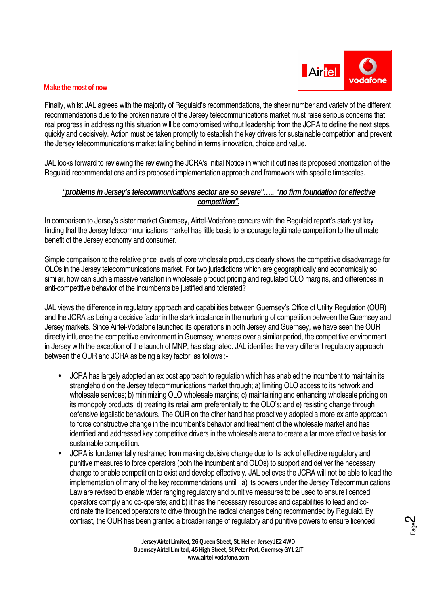

Page2

#### Make the most of now

Finally, whilst JAL agrees with the majority of Regulaid's recommendations, the sheer number and variety of the different recommendations due to the broken nature of the Jersey telecommunications market must raise serious concerns that real progress in addressing this situation will be compromised without leadership from the JCRA to define the next steps, quickly and decisively. Action must be taken promptly to establish the key drivers for sustainable competition and prevent the Jersey telecommunications market falling behind in terms innovation, choice and value.

JAL looks forward to reviewing the reviewing the JCRA's Initial Notice in which it outlines its proposed prioritization of the Regulaid recommendations and its proposed implementation approach and framework with specific timescales.

## **"problems in Jersey's telecommunications sector are so severe"….. "no firm foundation for effective competition".**

In comparison to Jersey's sister market Guernsey, Airtel-Vodafone concurs with the Regulaid report's stark yet key finding that the Jersey telecommunications market has little basis to encourage legitimate competition to the ultimate benefit of the Jersey economy and consumer.

Simple comparison to the relative price levels of core wholesale products clearly shows the competitive disadvantage for OLOs in the Jersey telecommunications market. For two jurisdictions which are geographically and economically so similar, how can such a massive variation in wholesale product pricing and regulated OLO margins, and differences in anti-competitive behavior of the incumbents be justified and tolerated?

JAL views the difference in regulatory approach and capabilities between Guernsey's Office of Utility Regulation (OUR) and the JCRA as being a decisive factor in the stark inbalance in the nurturing of competition between the Guernsey and Jersey markets. Since Airtel-Vodafone launched its operations in both Jersey and Guernsey, we have seen the OUR directly influence the competitive environment in Guernsey, whereas over a similar period, the competitive environment in Jersey with the exception of the launch of MNP, has stagnated. JAL identifies the very different regulatory approach between the OUR and JCRA as being a key factor, as follows :-

- JCRA has largely adopted an ex post approach to regulation which has enabled the incumbent to maintain its stranglehold on the Jersey telecommunications market through; a) limiting OLO access to its network and wholesale services; b) minimizing OLO wholesale margins; c) maintaining and enhancing wholesale pricing on its monopoly products; d) treating its retail arm preferentially to the OLO's; and e) resisting change through defensive legalistic behaviours. The OUR on the other hand has proactively adopted a more ex ante approach to force constructive change in the incumbent's behavior and treatment of the wholesale market and has identified and addressed key competitive drivers in the wholesale arena to create a far more effective basis for sustainable competition.
- JCRA is fundamentally restrained from making decisive change due to its lack of effective regulatory and punitive measures to force operators (both the incumbent and OLOs) to support and deliver the necessary change to enable competition to exist and develop effectively. JAL believes the JCRA will not be able to lead the implementation of many of the key recommendations until ; a) its powers under the Jersey Telecommunications Law are revised to enable wider ranging regulatory and punitive measures to be used to ensure licenced operators comply and co-operate; and b) it has the necessary resources and capabilities to lead and coordinate the licenced operators to drive through the radical changes being recommended by Regulaid. By contrast, the OUR has been granted a broader range of regulatory and punitive powers to ensure licenced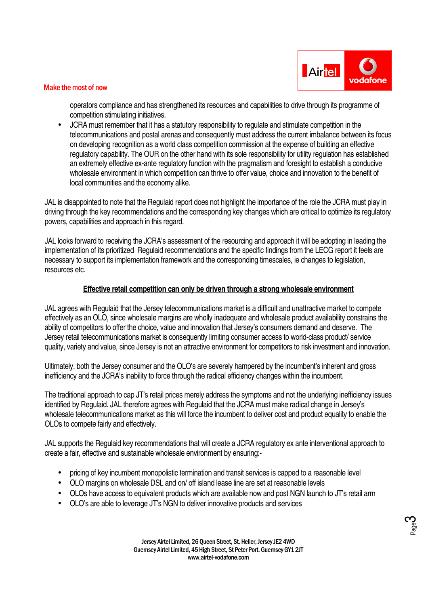

operators compliance and has strengthened its resources and capabilities to drive through its programme of competition stimulating initiatives.

• JCRA must remember that it has a statutory responsibility to regulate and stimulate competition in the telecommunications and postal arenas and consequently must address the current imbalance between its focus on developing recognition as a world class competition commission at the expense of building an effective regulatory capability. The OUR on the other hand with its sole responsibility for utility regulation has established an extremely effective ex-ante regulatory function with the pragmatism and foresight to establish a conducive wholesale environment in which competition can thrive to offer value, choice and innovation to the benefit of local communities and the economy alike.

JAL is disappointed to note that the Regulaid report does not highlight the importance of the role the JCRA must play in driving through the key recommendations and the corresponding key changes which are critical to optimize its regulatory powers, capabilities and approach in this regard.

JAL looks forward to receiving the JCRA's assessment of the resourcing and approach it will be adopting in leading the implementation of its prioritized Regulaid recommendations and the specific findings from the LECG report it feels are necessary to support its implementation framework and the corresponding timescales, ie changes to legislation, resources etc.

# **Effective retail competition can only be driven through a strong wholesale environment**

JAL agrees with Regulaid that the Jersey telecommunications market is a difficult and unattractive market to compete effectively as an OLO, since wholesale margins are wholly inadequate and wholesale product availability constrains the ability of competitors to offer the choice, value and innovation that Jersey's consumers demand and deserve. The Jersey retail telecommunications market is consequently limiting consumer access to world-class product/ service quality, variety and value, since Jersey is not an attractive environment for competitors to risk investment and innovation.

Ultimately, both the Jersey consumer and the OLO's are severely hampered by the incumbent's inherent and gross inefficiency and the JCRA's inability to force through the radical efficiency changes within the incumbent.

The traditional approach to cap JT's retail prices merely address the symptoms and not the underlying inefficiency issues identified by Regulaid. JAL therefore agrees with Regulaid that the JCRA must make radical change in Jersey's wholesale telecommunications market as this will force the incumbent to deliver cost and product equality to enable the OLOs to compete fairly and effectively.

JAL supports the Regulaid key recommendations that will create a JCRA regulatory ex ante interventional approach to create a fair, effective and sustainable wholesale environment by ensuring:-

- pricing of key incumbent monopolistic termination and transit services is capped to a reasonable level
- OLO margins on wholesale DSL and on/ off island lease line are set at reasonable levels
- OLOs have access to equivalent products which are available now and post NGN launch to JT's retail arm
- OLO's are able to leverage JT's NGN to deliver innovative products and services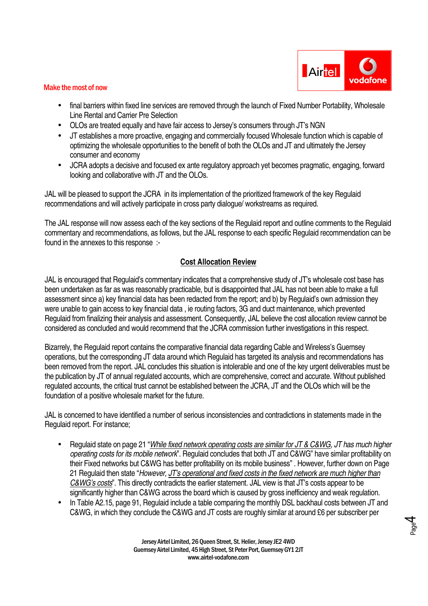

- final barriers within fixed line services are removed through the launch of Fixed Number Portability, Wholesale Line Rental and Carrier Pre Selection
- OLOs are treated equally and have fair access to Jersey's consumers through JT's NGN
- JT establishes a more proactive, engaging and commercially focused Wholesale function which is capable of optimizing the wholesale opportunities to the benefit of both the OLOs and JT and ultimately the Jersey consumer and economy
- JCRA adopts a decisive and focused ex ante regulatory approach yet becomes pragmatic, engaging, forward looking and collaborative with JT and the OLOs.

JAL will be pleased to support the JCRA in its implementation of the prioritized framework of the key Regulaid recommendations and will actively participate in cross party dialogue/ workstreams as required.

The JAL response will now assess each of the key sections of the Regulaid report and outline comments to the Regulaid commentary and recommendations, as follows, but the JAL response to each specific Regulaid recommendation can be found in the annexes to this response :-

# **Cost Allocation Review**

JAL is encouraged that Regulaid's commentary indicates that a comprehensive study of JT's wholesale cost base has been undertaken as far as was reasonably practicable, but is disappointed that JAL has not been able to make a full assessment since a) key financial data has been redacted from the report; and b) by Regulaid's own admission they were unable to gain access to key financial data , ie routing factors, 3G and duct maintenance, which prevented Regulaid from finalizing their analysis and assessment. Consequently, JAL believe the cost allocation review cannot be considered as concluded and would recommend that the JCRA commission further investigations in this respect.

Bizarrely, the Regulaid report contains the comparative financial data regarding Cable and Wireless's Guernsey operations, but the corresponding JT data around which Regulaid has targeted its analysis and recommendations has been removed from the report. JAL concludes this situation is intolerable and one of the key urgent deliverables must be the publication by JT of annual regulated accounts, which are comprehensive, correct and accurate. Without published regulated accounts, the critical trust cannot be established between the JCRA, JT and the OLOs which will be the foundation of a positive wholesale market for the future.

JAL is concerned to have identified a number of serious inconsistencies and contradictions in statements made in the Regulaid report. For instance;

- Regulaid state on page 21 "While fixed network operating costs are similar for JT & C&WG, JT has much higher operating costs for its mobile network". Regulaid concludes that both JT and C&WG" have similar profitability on their Fixed networks but C&WG has better profitability on its mobile business" . However, further down on Page 21 Regulaid then state "However, JT's operational and fixed costs in the fixed network are much higher than C&WG's costs". This directly contradicts the earlier statement. JAL view is that JT's costs appear to be significantly higher than C&WG across the board which is caused by gross inefficiency and weak regulation.
- In Table A2.15, page 91, Regulaid include a table comparing the monthly DSL backhaul costs between JT and C&WG, in which they conclude the C&WG and JT costs are roughly similar at around £6 per subscriber per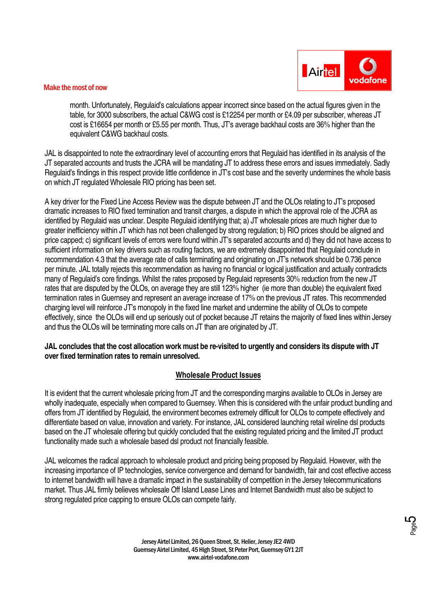

month. Unfortunately, Regulaid's calculations appear incorrect since based on the actual figures given in the table, for 3000 subscribers, the actual C&WG cost is £12254 per month or £4.09 per subscriber, whereas JT cost is £16654 per month or £5.55 per month. Thus, JT's average backhaul costs are 36% higher than the equivalent C&WG backhaul costs.

JAL is disappointed to note the extraordinary level of accounting errors that Regulaid has identified in its analysis of the JT separated accounts and trusts the JCRA will be mandating JT to address these errors and issues immediately. Sadly Regulaid's findings in this respect provide little confidence in JT's cost base and the severity undermines the whole basis on which JT regulated Wholesale RIO pricing has been set.

A key driver for the Fixed Line Access Review was the dispute between JT and the OLOs relating to JT's proposed dramatic increases to RIO fixed termination and transit charges, a dispute in which the approval role of the JCRA as identified by Regulaid was unclear. Despite Regulaid identifying that; a) JT wholesale prices are much higher due to greater inefficiency within JT which has not been challenged by strong regulation; b) RIO prices should be aligned and price capped; c) significant levels of errors were found within JT's separated accounts and d) they did not have access to sufficient information on key drivers such as routing factors, we are extremely disappointed that Regulaid conclude in recommendation 4.3 that the average rate of calls terminating and originating on JT's network should be 0.736 pence per minute. JAL totally rejects this recommendation as having no financial or logical justification and actually contradicts many of Regulaid's core findings. Whilst the rates proposed by Regulaid represents 30% reduction from the new JT rates that are disputed by the OLOs, on average they are still 123% higher (ie more than double) the equivalent fixed termination rates in Guernsey and represent an average increase of 17% on the previous JT rates. This recommended charging level will reinforce JT's monopoly in the fixed line market and undermine the ability of OLOs to compete effectively, since the OLOs will end up seriously out of pocket because JT retains the majority of fixed lines within Jersey and thus the OLOs will be terminating more calls on JT than are originated by JT.

#### **JAL concludes that the cost allocation work must be re-visited to urgently and considers its dispute with JT over fixed termination rates to remain unresolved.**

# **Wholesale Product Issues**

It is evident that the current wholesale pricing from JT and the corresponding margins available to OLOs in Jersey are wholly inadequate, especially when compared to Guernsey. When this is considered with the unfair product bundling and offers from JT identified by Regulaid, the environment becomes extremely difficult for OLOs to compete effectively and differentiate based on value, innovation and variety. For instance, JAL considered launching retail wireline dsl products based on the JT wholesale offering but quickly concluded that the existing regulated pricing and the limited JT product functionality made such a wholesale based dsl product not financially feasible.

JAL welcomes the radical approach to wholesale product and pricing being proposed by Regulaid. However, with the increasing importance of IP technologies, service convergence and demand for bandwidth, fair and cost effective access to internet bandwidth will have a dramatic impact in the sustainability of competition in the Jersey telecommunications market. Thus JAL firmly believes wholesale Off Island Lease Lines and Internet Bandwidth must also be subject to strong regulated price capping to ensure OLOs can compete fairly.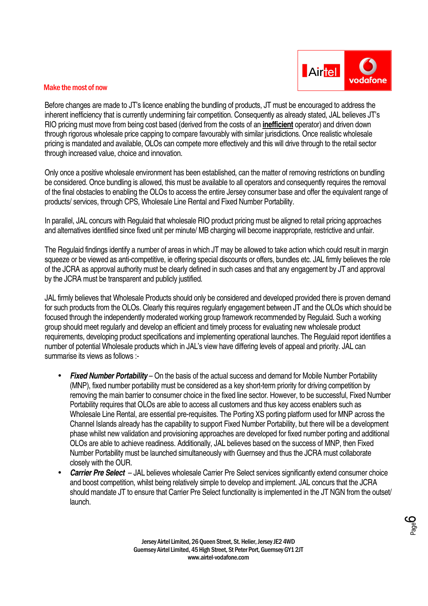

Before changes are made to JT's licence enabling the bundling of products, JT must be encouraged to address the inherent inefficiency that is currently undermining fair competition. Consequently as already stated, JAL believes JT's RIO pricing must move from being cost based (derived from the costs of an **inefficient** operator) and driven down through rigorous wholesale price capping to compare favourably with similar jurisdictions. Once realistic wholesale pricing is mandated and available, OLOs can compete more effectively and this will drive through to the retail sector through increased value, choice and innovation.

Only once a positive wholesale environment has been established, can the matter of removing restrictions on bundling be considered. Once bundling is allowed, this must be available to all operators and consequently requires the removal of the final obstacles to enabling the OLOs to access the entire Jersey consumer base and offer the equivalent range of products/ services, through CPS, Wholesale Line Rental and Fixed Number Portability.

In parallel, JAL concurs with Regulaid that wholesale RIO product pricing must be aligned to retail pricing approaches and alternatives identified since fixed unit per minute/ MB charging will become inappropriate, restrictive and unfair.

The Regulaid findings identify a number of areas in which JT may be allowed to take action which could result in margin squeeze or be viewed as anti-competitive, ie offering special discounts or offers, bundles etc. JAL firmly believes the role of the JCRA as approval authority must be clearly defined in such cases and that any engagement by JT and approval by the JCRA must be transparent and publicly justified.

JAL firmly believes that Wholesale Products should only be considered and developed provided there is proven demand for such products from the OLOs. Clearly this requires regularly engagement between JT and the OLOs which should be focused through the independently moderated working group framework recommended by Regulaid. Such a working group should meet regularly and develop an efficient and timely process for evaluating new wholesale product requirements, developing product specifications and implementing operational launches. The Regulaid report identifies a number of potential Wholesale products which in JAL's view have differing levels of appeal and priority. JAL can summarise its views as follows :-

- **Fixed Number Portability** On the basis of the actual success and demand for Mobile Number Portability (MNP), fixed number portability must be considered as a key short-term priority for driving competition by removing the main barrier to consumer choice in the fixed line sector. However, to be successful, Fixed Number Portability requires that OLOs are able to access all customers and thus key access enablers such as Wholesale Line Rental, are essential pre-requisites. The Porting XS porting platform used for MNP across the Channel Islands already has the capability to support Fixed Number Portability, but there will be a development phase whilst new validation and provisioning approaches are developed for fixed number porting and additional OLOs are able to achieve readiness. Additionally, JAL believes based on the success of MNP, then Fixed Number Portability must be launched simultaneously with Guernsey and thus the JCRA must collaborate closely with the OUR.
- **Carrier Pre Select** JAL believes wholesale Carrier Pre Select services significantly extend consumer choice and boost competition, whilst being relatively simple to develop and implement. JAL concurs that the JCRA should mandate JT to ensure that Carrier Pre Select functionality is implemented in the JT NGN from the outset/ launch.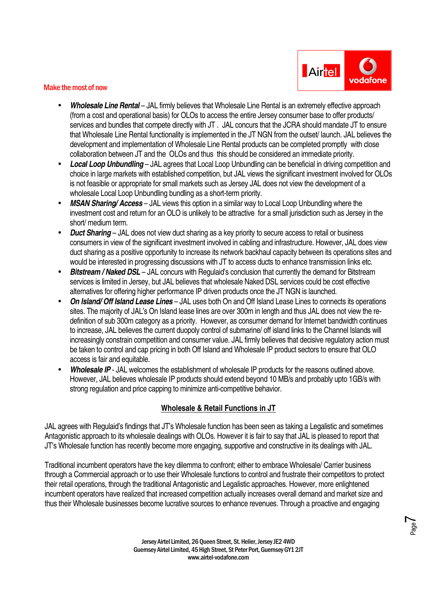

- **Wholesale Line Rental** JAL firmly believes that Wholesale Line Rental is an extremely effective approach (from a cost and operational basis) for OLOs to access the entire Jersey consumer base to offer products/ services and bundles that compete directly with JT. JAL concurs that the JCRA should mandate JT to ensure that Wholesale Line Rental functionality is implemented in the JT NGN from the outset/ launch. JAL believes the development and implementation of Wholesale Line Rental products can be completed promptly with close collaboration between JT and the OLOs and thus this should be considered an immediate priority.
- **Local Loop Unbundling** JAL agrees that Local Loop Unbundling can be beneficial in driving competition and choice in large markets with established competition, but JAL views the significant investment involved for OLOs is not feasible or appropriate for small markets such as Jersey JAL does not view the development of a wholesale Local Loop Unbundling bundling as a short-term priority.
- **MSAN Sharing/ Access**  JAL views this option in a similar way to Local Loop Unbundling where the investment cost and return for an OLO is unlikely to be attractive for a small jurisdiction such as Jersey in the short/ medium term.
- **Duct Sharing** JAL does not view duct sharing as a key priority to secure access to retail or business consumers in view of the significant investment involved in cabling and infrastructure. However, JAL does view duct sharing as a positive opportunity to increase its network backhaul capacity between its operations sites and would be interested in progressing discussions with JT to access ducts to enhance transmission links etc.
- **Bitstream / Naked DSL** JAL concurs with Regulaid's conclusion that currently the demand for Bitstream services is limited in Jersey, but JAL believes that wholesale Naked DSL services could be cost effective alternatives for offering higher performance IP driven products once the JT NGN is launched.
- **On Island/ Off Island Lease Lines**  JAL uses both On and Off Island Lease Lines to connects its operations sites. The majority of JAL's On Island lease lines are over 300m in length and thus JAL does not view the redefinition of sub 300m category as a priority. However, as consumer demand for Internet bandwidth continues to increase, JAL believes the current duopoly control of submarine/ off island links to the Channel Islands will increasingly constrain competition and consumer value. JAL firmly believes that decisive regulatory action must be taken to control and cap pricing in both Off Island and Wholesale IP product sectors to ensure that OLO access is fair and equitable.
- **Wholesale IP** JAL welcomes the establishment of wholesale IP products for the reasons outlined above. However, JAL believes wholesale IP products should extend beyond 10 MB/s and probably upto 1GB/s with strong regulation and price capping to minimize anti-competitive behavior.

# **Wholesale & Retail Functions in JT**

JAL agrees with Regulaid's findings that JT's Wholesale function has been seen as taking a Legalistic and sometimes Antagonistic approach to its wholesale dealings with OLOs. However it is fair to say that JAL is pleased to report that JT's Wholesale function has recently become more engaging, supportive and constructive in its dealings with JAL.

Traditional incumbent operators have the key dilemma to confront; either to embrace Wholesale/ Carrier business through a Commercial approach or to use their Wholesale functions to control and frustrate their competitors to protect their retail operations, through the traditional Antagonistic and Legalistic approaches. However, more enlightened incumbent operators have realized that increased competition actually increases overall demand and market size and thus their Wholesale businesses become lucrative sources to enhance revenues. Through a proactive and engaging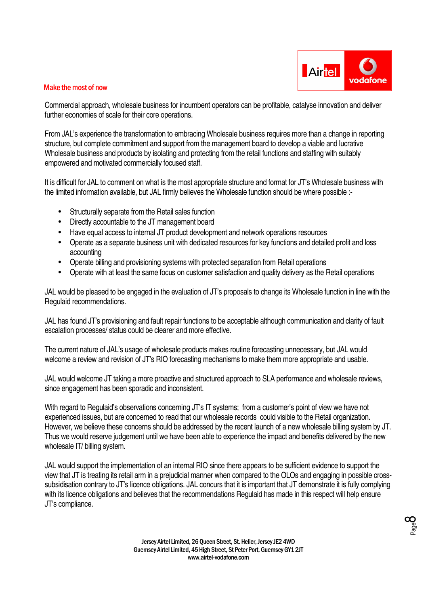

Commercial approach, wholesale business for incumbent operators can be profitable, catalyse innovation and deliver further economies of scale for their core operations.

From JAL's experience the transformation to embracing Wholesale business requires more than a change in reporting structure, but complete commitment and support from the management board to develop a viable and lucrative Wholesale business and products by isolating and protecting from the retail functions and staffing with suitably empowered and motivated commercially focused staff.

It is difficult for JAL to comment on what is the most appropriate structure and format for JT's Wholesale business with the limited information available, but JAL firmly believes the Wholesale function should be where possible :-

- Structurally separate from the Retail sales function
- Directly accountable to the JT management board
- Have equal access to internal JT product development and network operations resources
- Operate as a separate business unit with dedicated resources for key functions and detailed profit and loss accounting
- Operate billing and provisioning systems with protected separation from Retail operations
- Operate with at least the same focus on customer satisfaction and quality delivery as the Retail operations

JAL would be pleased to be engaged in the evaluation of JT's proposals to change its Wholesale function in line with the Regulaid recommendations.

JAL has found JT's provisioning and fault repair functions to be acceptable although communication and clarity of fault escalation processes/ status could be clearer and more effective.

The current nature of JAL's usage of wholesale products makes routine forecasting unnecessary, but JAL would welcome a review and revision of JT's RIO forecasting mechanisms to make them more appropriate and usable.

JAL would welcome JT taking a more proactive and structured approach to SLA performance and wholesale reviews, since engagement has been sporadic and inconsistent.

With regard to Regulaid's observations concerning JT's IT systems; from a customer's point of view we have not experienced issues, but are concerned to read that our wholesale records could visible to the Retail organization. However, we believe these concerns should be addressed by the recent launch of a new wholesale billing system by JT. Thus we would reserve judgement until we have been able to experience the impact and benefits delivered by the new wholesale IT/ billing system.

JAL would support the implementation of an internal RIO since there appears to be sufficient evidence to support the view that JT is treating its retail arm in a prejudicial manner when compared to the OLOs and engaging in possible crosssubsidisation contrary to JT's licence obligations. JAL concurs that it is important that JT demonstrate it is fully complying with its licence obligations and believes that the recommendations Regulaid has made in this respect will help ensure JT's compliance.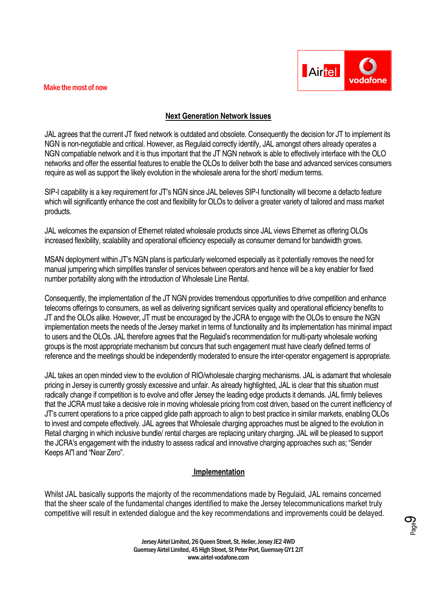

# **Next Generation Network Issues**

JAL agrees that the current JT fixed network is outdated and obsolete. Consequently the decision for JT to implement its NGN is non-negotiable and critical. However, as Regulaid correctly identify, JAL amongst others already operates a NGN compatiable network and it is thus important that the JT NGN network is able to effectively interface with the OLO networks and offer the essential features to enable the OLOs to deliver both the base and advanced services consumers require as well as support the likely evolution in the wholesale arena for the short/ medium terms.

SIP-I capability is a key requirement for JT's NGN since JAL believes SIP-I functionality will become a defacto feature which will significantly enhance the cost and flexibility for OLOs to deliver a greater variety of tailored and mass market products.

JAL welcomes the expansion of Ethernet related wholesale products since JAL views Ethernet as offering OLOs increased flexibility, scalability and operational efficiency especially as consumer demand for bandwidth grows.

MSAN deployment within JT's NGN plans is particularly welcomed especially as it potentially removes the need for manual jumpering which simplifies transfer of services between operators and hence will be a key enabler for fixed number portability along with the introduction of Wholesale Line Rental.

Consequently, the implementation of the JT NGN provides tremendous opportunities to drive competition and enhance telecoms offerings to consumers, as well as delivering significant services quality and operational efficiency benefits to JT and the OLOs alike. However, JT must be encouraged by the JCRA to engage with the OLOs to ensure the NGN implementation meets the needs of the Jersey market in terms of functionality and its implementation has minimal impact to users and the OLOs. JAL therefore agrees that the Regulaid's recommendation for multi-party wholesale working groups is the most appropriate mechanism but concurs that such engagement must have clearly defined terms of reference and the meetings should be independently moderated to ensure the inter-operator engagement is appropriate.

JAL takes an open minded view to the evolution of RIO/wholesale charging mechanisms. JAL is adamant that wholesale pricing in Jersey is currently grossly excessive and unfair. As already highlighted, JAL is clear that this situation must radically change if competition is to evolve and offer Jersey the leading edge products it demands. JAL firmly believes that the JCRA must take a decisive role in moving wholesale pricing from cost driven, based on the current inefficiency of JT's current operations to a price capped glide path approach to align to best practice in similar markets, enabling OLOs to invest and compete effectively. JAL agrees that Wholesale charging approaches must be aligned to the evolution in Retail charging in which inclusive bundle/ rental charges are replacing unitary charging. JAL will be pleased to support the JCRA's engagement with the industry to assess radical and innovative charging approaches such as; "Sender Keeps Al"l and "Near Zero".

# **Implementation**

Whilst JAL basically supports the majority of the recommendations made by Regulaid, JAL remains concerned that the sheer scale of the fundamental changes identified to make the Jersey telecommunications market truly competitive will result in extended dialogue and the key recommendations and improvements could be delayed.

**O**<br>Page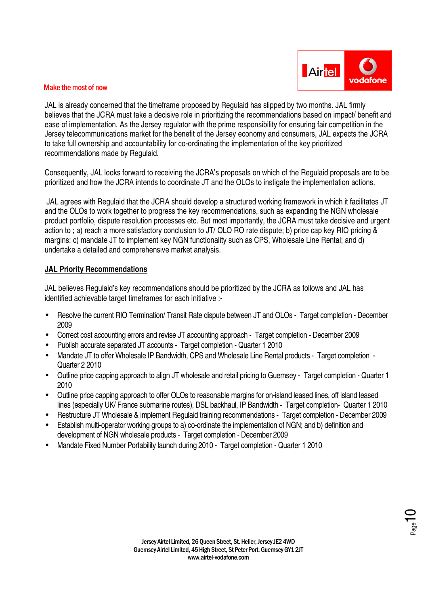

JAL is already concerned that the timeframe proposed by Regulaid has slipped by two months. JAL firmly believes that the JCRA must take a decisive role in prioritizing the recommendations based on impact/ benefit and ease of implementation. As the Jersey regulator with the prime responsibility for ensuring fair competition in the Jersey telecommunications market for the benefit of the Jersey economy and consumers, JAL expects the JCRA to take full ownership and accountability for co-ordinating the implementation of the key prioritized recommendations made by Regulaid.

Consequently, JAL looks forward to receiving the JCRA's proposals on which of the Regulaid proposals are to be prioritized and how the JCRA intends to coordinate JT and the OLOs to instigate the implementation actions.

 JAL agrees with Regulaid that the JCRA should develop a structured working framework in which it facilitates JT and the OLOs to work together to progress the key recommendations, such as expanding the NGN wholesale product portfolio, dispute resolution processes etc. But most importantly, the JCRA must take decisive and urgent action to ; a) reach a more satisfactory conclusion to JT/ OLO RO rate dispute; b) price cap key RIO pricing & margins; c) mandate JT to implement key NGN functionality such as CPS, Wholesale Line Rental; and d) undertake a detailed and comprehensive market analysis.

#### **JAL Priority Recommendations**

JAL believes Regulaid's key recommendations should be prioritized by the JCRA as follows and JAL has identified achievable target timeframes for each initiative :-

- Resolve the current RIO Termination/ Transit Rate dispute between JT and OLOs Target completion December 2009
- Correct cost accounting errors and revise JT accounting approach Target completion December 2009
- Publish accurate separated JT accounts Target completion Quarter 1 2010
- Mandate JT to offer Wholesale IP Bandwidth, CPS and Wholesale Line Rental products Target completion Quarter 2 2010
- Outline price capping approach to align JT wholesale and retail pricing to Guernsey Target completion Quarter 1 2010
- Outline price capping approach to offer OLOs to reasonable margins for on-island leased lines, off island leased lines (especially UK/ France submarine routes), DSL backhaul, IP Bandwidth - Target completion- Quarter 1 2010
- Restructure JT Wholesale & implement Regulaid training recommendations Target completion December 2009
- Establish multi-operator working groups to a) co-ordinate the implementation of NGN; and b) definition and development of NGN wholesale products - Target completion - December 2009
- Mandate Fixed Number Portability launch during 2010 Target completion Quarter 1 2010

 $P_{\text{age}}$ 10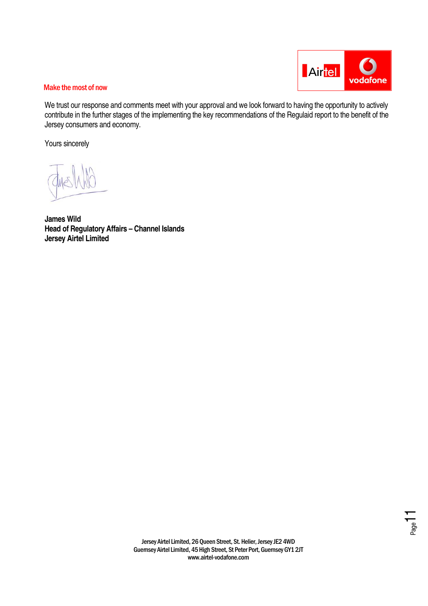

We trust our response and comments meet with your approval and we look forward to having the opportunity to actively contribute in the further stages of the implementing the key recommendations of the Regulaid report to the benefit of the Jersey consumers and economy.

Yours sincerely

**James Wild Head of Regulatory Affairs – Channel Islands Jersey Airtel Limited** 

 $\frac{1}{2}$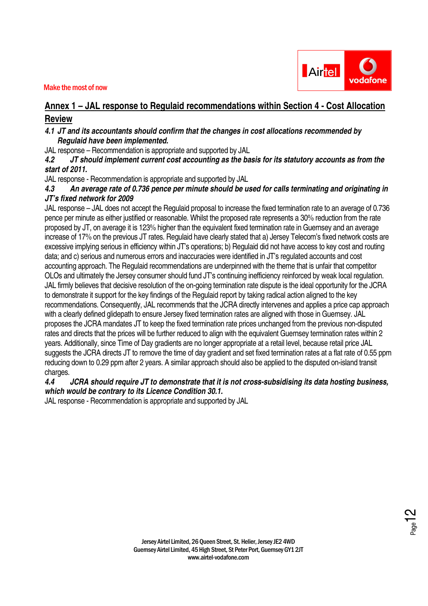

# **Annex 1 – JAL response to Regulaid recommendations within Section 4 - Cost Allocation Review**

# **4.1 JT and its accountants should confirm that the changes in cost allocations recommended by Regulaid have been implemented.**

JAL response – Recommendation is appropriate and supported by JAL

**4.2 JT should implement current cost accounting as the basis for its statutory accounts as from the start of 2011.** 

JAL response - Recommendation is appropriate and supported by JAL

## **4.3 An average rate of 0.736 pence per minute should be used for calls terminating and originating in JT's fixed network for 2009**

JAL response – JAL does not accept the Regulaid proposal to increase the fixed termination rate to an average of 0.736 pence per minute as either justified or reasonable. Whilst the proposed rate represents a 30% reduction from the rate proposed by JT, on average it is 123% higher than the equivalent fixed termination rate in Guernsey and an average increase of 17% on the previous JT rates. Regulaid have clearly stated that a) Jersey Telecom's fixed network costs are excessive implying serious in efficiency within JT's operations; b) Regulaid did not have access to key cost and routing data; and c) serious and numerous errors and inaccuracies were identified in JT's regulated accounts and cost accounting approach. The Regulaid recommendations are underpinned with the theme that is unfair that competitor OLOs and ultimately the Jersey consumer should fund JT's continuing inefficiency reinforced by weak local regulation. JAL firmly believes that decisive resolution of the on-going termination rate dispute is the ideal opportunity for the JCRA to demonstrate it support for the key findings of the Regulaid report by taking radical action aligned to the key recommendations. Consequently, JAL recommends that the JCRA directly intervenes and applies a price cap approach with a clearly defined glidepath to ensure Jersey fixed termination rates are aligned with those in Guernsey. JAL proposes the JCRA mandates JT to keep the fixed termination rate prices unchanged from the previous non-disputed rates and directs that the prices will be further reduced to align with the equivalent Guernsey termination rates within 2 years. Additionally, since Time of Day gradients are no longer appropriate at a retail level, because retail price JAL suggests the JCRA directs JT to remove the time of day gradient and set fixed termination rates at a flat rate of 0.55 ppm reducing down to 0.29 ppm after 2 years. A similar approach should also be applied to the disputed on-island transit charges.

# **4.4 JCRA should require JT to demonstrate that it is not cross-subsidising its data hosting business, which would be contrary to its Licence Condition 30.1.**

JAL response - Recommendation is appropriate and supported by JAL

 $\frac{2}{\epsilon_{\text{age}}}$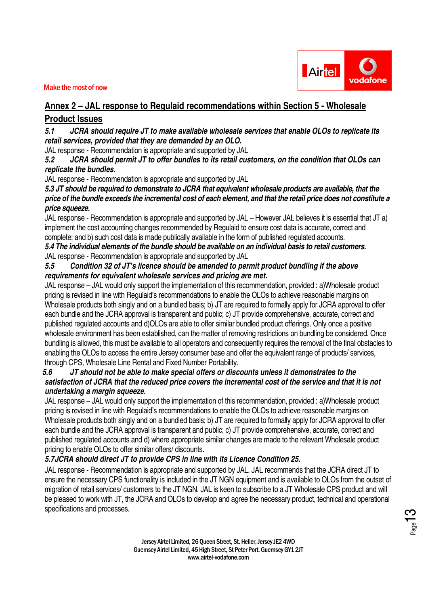



# **Annex 2 – JAL response to Regulaid recommendations within Section 5 - Wholesale**

# **Product Issues**

**5.1 JCRA should require JT to make available wholesale services that enable OLOs to replicate its retail services, provided that they are demanded by an OLO.** 

JAL response - Recommendation is appropriate and supported by JAL

**5.2 JCRA should permit JT to offer bundles to its retail customers, on the condition that OLOs can replicate the bundles**.

JAL response - Recommendation is appropriate and supported by JAL

**5.3 JT should be required to demonstrate to JCRA that equivalent wholesale products are available, that the price of the bundle exceeds the incremental cost of each element, and that the retail price does not constitute a price squeeze.**

JAL response - Recommendation is appropriate and supported by JAL – However JAL believes it is essential that JT a) implement the cost accounting changes recommended by Regulaid to ensure cost data is accurate, correct and complete; and b) such cost data is made publically available in the form of published regulated accounts.

**5.4 The individual elements of the bundle should be available on an individual basis to retail customers.**  JAL response - Recommendation is appropriate and supported by JAL

# **5.5 Condition 32 of JT's licence should be amended to permit product bundling if the above requirements for equivalent wholesale services and pricing are met.**

JAL response – JAL would only support the implementation of this recommendation, provided : a)Wholesale product pricing is revised in line with Regulaid's recommendations to enable the OLOs to achieve reasonable margins on Wholesale products both singly and on a bundled basis; b) JT are required to formally apply for JCRA approval to offer each bundle and the JCRA approval is transparent and public; c) JT provide comprehensive, accurate, correct and published regulated accounts and d)OLOs are able to offer similar bundled product offerings. Only once a positive wholesale environment has been established, can the matter of removing restrictions on bundling be considered. Once bundling is allowed, this must be available to all operators and consequently requires the removal of the final obstacles to enabling the OLOs to access the entire Jersey consumer base and offer the equivalent range of products/ services, through CPS, Wholesale Line Rental and Fixed Number Portability.

# **5.6 JT should not be able to make special offers or discounts unless it demonstrates to the satisfaction of JCRA that the reduced price covers the incremental cost of the service and that it is not undertaking a margin squeeze.**

JAL response – JAL would only support the implementation of this recommendation, provided : a)Wholesale product pricing is revised in line with Regulaid's recommendations to enable the OLOs to achieve reasonable margins on Wholesale products both singly and on a bundled basis; b) JT are required to formally apply for JCRA approval to offer each bundle and the JCRA approval is transparent and public; c) JT provide comprehensive, accurate, correct and published regulated accounts and d) where appropriate similar changes are made to the relevant Wholesale product pricing to enable OLOs to offer similar offers/ discounts.

# **5.7JCRA should direct JT to provide CPS in line with its Licence Condition 25.**

JAL response - Recommendation is appropriate and supported by JAL. JAL recommends that the JCRA direct JT to ensure the necessary CPS functionality is included in the JT NGN equipment and is available to OLOs from the outset of migration of retail services/ customers to the JT NGN. JAL is keen to subscribe to a JT Wholesale CPS product and will be pleased to work with JT, the JCRA and OLOs to develop and agree the necessary product, technical and operational specifications and processes.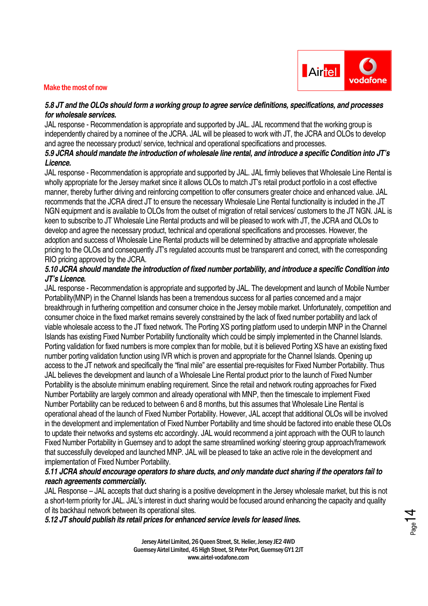

# **5.8 JT and the OLOs should form a working group to agree service definitions, specifications, and processes for wholesale services.**

JAL response - Recommendation is appropriate and supported by JAL. JAL recommend that the working group is independently chaired by a nominee of the JCRA. JAL will be pleased to work with JT, the JCRA and OLOs to develop and agree the necessary product/ service, technical and operational specifications and processes.

# **5.9 JCRA should mandate the introduction of wholesale line rental, and introduce a specific Condition into JT's Licence.**

JAL response - Recommendation is appropriate and supported by JAL. JAL firmly believes that Wholesale Line Rental is wholly appropriate for the Jersey market since it allows OLOs to match JT's retail product portfolio in a cost effective manner, thereby further driving and reinforcing competition to offer consumers greater choice and enhanced value. JAL recommends that the JCRA direct JT to ensure the necessary Wholesale Line Rental functionality is included in the JT NGN equipment and is available to OLOs from the outset of migration of retail services/ customers to the JT NGN. JAL is keen to subscribe to JT Wholesale Line Rental products and will be pleased to work with JT, the JCRA and OLOs to develop and agree the necessary product, technical and operational specifications and processes. However, the adoption and success of Wholesale Line Rental products will be determined by attractive and appropriate wholesale pricing to the OLOs and consequently JT's regulated accounts must be transparent and correct, with the corresponding RIO pricing approved by the JCRA.

## **5.10 JCRA should mandate the introduction of fixed number portability, and introduce a specific Condition into JT's Licence.**

JAL response - Recommendation is appropriate and supported by JAL. The development and launch of Mobile Number Portability(MNP) in the Channel Islands has been a tremendous success for all parties concerned and a major breakthrough in furthering competition and consumer choice in the Jersey mobile market. Unfortunately, competition and consumer choice in the fixed market remains severely constrained by the lack of fixed number portability and lack of viable wholesale access to the JT fixed network. The Porting XS porting platform used to underpin MNP in the Channel Islands has existing Fixed Number Portability functionality which could be simply implemented in the Channel Islands. Porting validation for fixed numbers is more complex than for mobile, but it is believed Porting XS have an existing fixed number porting validation function using IVR which is proven and appropriate for the Channel Islands. Opening up access to the JT network and specifically the "final mile" are essential pre-requisites for Fixed Number Portability. Thus JAL believes the development and launch of a Wholesale Line Rental product prior to the launch of Fixed Number Portability is the absolute minimum enabling requirement. Since the retail and network routing approaches for Fixed Number Portability are largely common and already operational with MNP, then the timescale to implement Fixed Number Portability can be reduced to between 6 and 8 months, but this assumes that Wholesale Line Rental is operational ahead of the launch of Fixed Number Portability. However, JAL accept that additional OLOs will be involved in the development and implementation of Fixed Number Portability and time should be factored into enable these OLOs to update their networks and systems etc accordingly. JAL would recommend a joint approach with the OUR to launch Fixed Number Portability in Guernsey and to adopt the same streamlined working/ steering group approach/framework that successfully developed and launched MNP. JAL will be pleased to take an active role in the development and implementation of Fixed Number Portability.

# **5.11 JCRA should encourage operators to share ducts, and only mandate duct sharing if the operators fail to reach agreements commercially.**

JAL Response – JAL accepts that duct sharing is a positive development in the Jersey wholesale market, but this is not a short-term priority for JAL. JAL's interest in duct sharing would be focused around enhancing the capacity and quality of its backhaul network between its operational sites.

**5.12 JT should publish its retail prices for enhanced service levels for leased lines.** 

Jersey Airtel Limited, 26 Queen Street, St. Helier, Jersey JE2 4WD Guernsey Airtel Limited, 45 High Street, St Peter Port, Guernsey GY1 2JT www.airtel-vodafone.com

 $\frac{1}{2}$ Page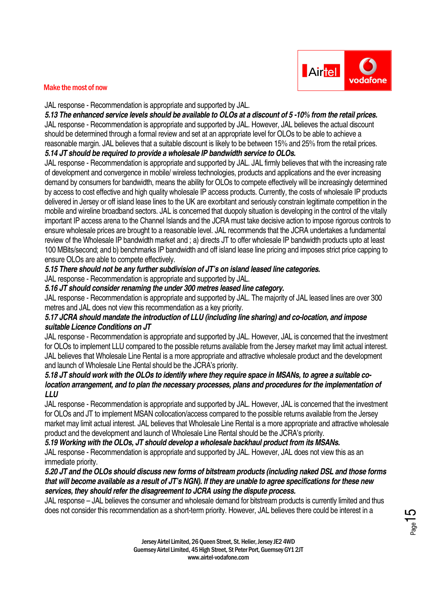

JAL response - Recommendation is appropriate and supported by JAL.

**5.13 The enhanced service levels should be available to OLOs at a discount of 5 -10% from the retail prices.** JAL response - Recommendation is appropriate and supported by JAL. However, JAL believes the actual discount should be determined through a formal review and set at an appropriate level for OLOs to be able to achieve a reasonable margin. JAL believes that a suitable discount is likely to be between 15% and 25% from the retail prices. **5.14 JT should be required to provide a wholesale IP bandwidth service to OLOs.** 

JAL response - Recommendation is appropriate and supported by JAL. JAL firmly believes that with the increasing rate of development and convergence in mobile/ wireless technologies, products and applications and the ever increasing demand by consumers for bandwidth, means the ability for OLOs to compete effectively will be increasingly determined by access to cost effective and high quality wholesale IP access products. Currently, the costs of wholesale IP products delivered in Jersey or off island lease lines to the UK are exorbitant and seriously constrain legitimate competition in the mobile and wireline broadband sectors. JAL is concerned that duopoly situation is developing in the control of the vitally important IP access arena to the Channel Islands and the JCRA must take decisive action to impose rigorous controls to ensure wholesale prices are brought to a reasonable level. JAL recommends that the JCRA undertakes a fundamental review of the Wholesale IP bandwidth market and ; a) directs JT to offer wholesale IP bandwidth products upto at least 100 MBits/second; and b) benchmarks IP bandwidth and off island lease line pricing and imposes strict price capping to ensure OLOs are able to compete effectively.

#### **5.15 There should not be any further subdivision of JT's on island leased line categories.**

JAL response - Recommendation is appropriate and supported by JAL.

#### **5.16 JT should consider renaming the under 300 metres leased line category.**

JAL response - Recommendation is appropriate and supported by JAL. The majority of JAL leased lines are over 300 metres and JAL does not view this recommendation as a key priority.

#### **5.17 JCRA should mandate the introduction of LLU (including line sharing) and co-location, and impose suitable Licence Conditions on JT**

JAL response - Recommendation is appropriate and supported by JAL. However, JAL is concerned that the investment for OLOs to implement LLU compared to the possible returns available from the Jersey market may limit actual interest. JAL believes that Wholesale Line Rental is a more appropriate and attractive wholesale product and the development and launch of Wholesale Line Rental should be the JCRA's priority.

#### **5.18 JT should work with the OLOs to identify where they require space in MSANs, to agree a suitable colocation arrangement, and to plan the necessary processes, plans and procedures for the implementation of LLU**

JAL response - Recommendation is appropriate and supported by JAL. However, JAL is concerned that the investment for OLOs and JT to implement MSAN collocation/access compared to the possible returns available from the Jersey market may limit actual interest. JAL believes that Wholesale Line Rental is a more appropriate and attractive wholesale product and the development and launch of Wholesale Line Rental should be the JCRA's priority.

# **5.19 Working with the OLOs, JT should develop a wholesale backhaul product from its MSANs.**

JAL response - Recommendation is appropriate and supported by JAL. However, JAL does not view this as an immediate priority.

#### **5.20 JT and the OLOs should discuss new forms of bitstream products (including naked DSL and those forms that will become available as a result of JT's NGN). If they are unable to agree specifications for these new services, they should refer the disagreement to JCRA using the dispute process.**

JAL response – JAL believes the consumer and wholesale demand for bitstream products is currently limited and thus does not consider this recommendation as a short-term priority. However, JAL believes there could be interest in a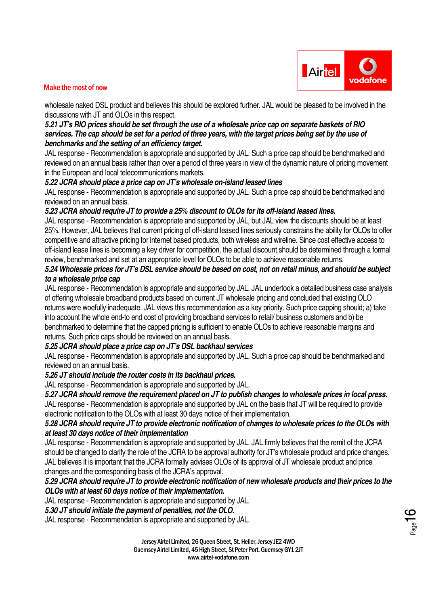

wholesale naked DSL product and believes this should be explored further. JAL would be pleased to be involved in the discussions with JT and OLOs in this respect.

#### **5.21 JT's RIO prices should be set through the use of a wholesale price cap on separate baskets of RIO services. The cap should be set for a period of three years, with the target prices being set by the use of benchmarks and the setting of an efficiency target.**

JAL response - Recommendation is appropriate and supported by JAL. Such a price cap should be benchmarked and reviewed on an annual basis rather than over a period of three years in view of the dynamic nature of pricing movement in the European and local telecommunications markets.

#### **5.22 JCRA should place a price cap on JT's wholesale on-island leased lines**

JAL response - Recommendation is appropriate and supported by JAL. Such a price cap should be benchmarked and reviewed on an annual basis.

# **5.23 JCRA should require JT to provide a 25% discount to OLOs for its off-island leased lines.**

JAL response - Recommendation is appropriate and supported by JAL, but JAL view the discounts should be at least 25%. However, JAL believes that current pricing of off-island leased lines seriously constrains the ability for OLOs to offer competitive and attractive pricing for internet based products, both wireless and wireline. Since cost effective access to off-island lease lines is becoming a key driver for competition, the actual discount should be determined through a formal review, benchmarked and set at an appropriate level for OLOs to be able to achieve reasonable returns.

#### **5.24 Wholesale prices for JT's DSL service should be based on cost, not on retail minus, and should be subject to a wholesale price cap**

JAL response - Recommendation is appropriate and supported by JAL. JAL undertook a detailed business case analysis of offering wholesale broadband products based on current JT wholesale pricing and concluded that existing OLO returns were woefully inadequate. JAL views this recommendation as a key priority. Such price capping should; a) take into account the whole end-to end cost of providing broadband services to retail/ business customers and b) be benchmarked to determine that the capped pricing is sufficient to enable OLOs to achieve reasonable margins and returns. Such price caps should be reviewed on an annual basis.

# **5.25 JCRA should place a price cap on JT's DSL backhaul services**

JAL response - Recommendation is appropriate and supported by JAL. Such a price cap should be benchmarked and reviewed on an annual basis.

#### **5.26 JT should include the router costs in its backhaul prices.**

JAL response - Recommendation is appropriate and supported by JAL.

**5.27 JCRA should remove the requirement placed on JT to publish changes to wholesale prices in local press.**  JAL response - Recommendation is appropriate and supported by JAL on the basis that JT will be required to provide electronic notification to the OLOs with at least 30 days notice of their implementation.

# **5.28 JCRA should require JT to provide electronic notification of changes to wholesale prices to the OLOs with at least 30 days notice of their implementation**

JAL response - Recommendation is appropriate and supported by JAL. JAL firmly believes that the remit of the JCRA should be changed to clarify the role of the JCRA to be approval authority for JT's wholesale product and price changes. JAL believes it is important that the JCRA formally advises OLOs of its approval of JT wholesale product and price changes and the corresponding basis of the JCRA's approval.

#### **5.29 JCRA should require JT to provide electronic notification of new wholesale products and their prices to the OLOs with at least 60 days notice of their implementation.**

JAL response - Recommendation is appropriate and supported by JAL.

#### **5.30 JT should initiate the payment of penalties, not the OLO.**

JAL response - Recommendation is appropriate and supported by JAL.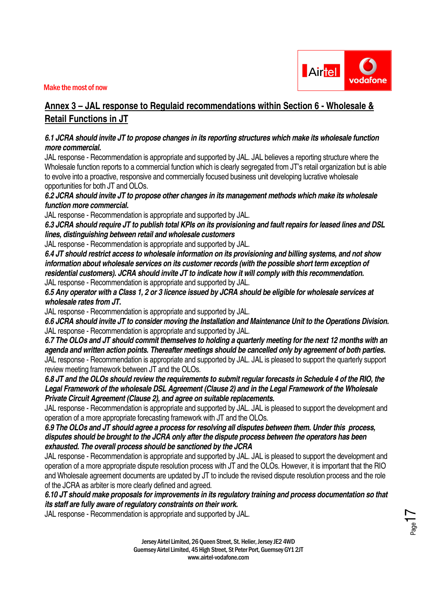



 $P_{\text{age}}$ 17

# **Annex 3 – JAL response to Regulaid recommendations within Section 6 - Wholesale & Retail Functions in JT**

## **6.1 JCRA should invite JT to propose changes in its reporting structures which make its wholesale function more commercial.**

JAL response - Recommendation is appropriate and supported by JAL. JAL believes a reporting structure where the Wholesale function reports to a commercial function which is clearly segregated from JT's retail organization but is able to evolve into a proactive, responsive and commercially focused business unit developing lucrative wholesale opportunities for both JT and OLOs.

**6.2 JCRA should invite JT to propose other changes in its management methods which make its wholesale function more commercial.** 

JAL response - Recommendation is appropriate and supported by JAL.

**6.3 JCRA should require JT to publish total KPIs on its provisioning and fault repairs for leased lines and DSL lines, distinguishing between retail and wholesale customers** 

JAL response - Recommendation is appropriate and supported by JAL.

**6.4 JT should restrict access to wholesale information on its provisioning and billing systems, and not show information about wholesale services on its customer records (with the possible short term exception of residential customers). JCRA should invite JT to indicate how it will comply with this recommendation.** JAL response - Recommendation is appropriate and supported by JAL.

**6.5 Any operator with a Class 1, 2 or 3 licence issued by JCRA should be eligible for wholesale services at wholesale rates from JT.** 

JAL response - Recommendation is appropriate and supported by JAL.

**6.6 JCRA should invite JT to consider moving the Installation and Maintenance Unit to the Operations Division.**  JAL response - Recommendation is appropriate and supported by JAL.

**6.7 The OLOs and JT should commit themselves to holding a quarterly meeting for the next 12 months with an agenda and written action points. Thereafter meetings should be cancelled only by agreement of both parties.**  JAL response - Recommendation is appropriate and supported by JAL. JAL is pleased to support the quarterly support review meeting framework between JT and the OLOs.

**6.8 JT and the OLOs should review the requirements to submit regular forecasts in Schedule 4 of the RIO, the Legal Framework of the wholesale DSL Agreement (Clause 2) and in the Legal Framework of the Wholesale Private Circuit Agreement (Clause 2), and agree on suitable replacements.** 

JAL response - Recommendation is appropriate and supported by JAL. JAL is pleased to support the development and operation of a more appropriate forecasting framework with JT and the OLOs.

**6.9 The OLOs and JT should agree a process for resolving all disputes between them. Under this process, disputes should be brought to the JCRA only after the dispute process between the operators has been exhausted. The overall process should be sanctioned by the JCRA** 

JAL response - Recommendation is appropriate and supported by JAL. JAL is pleased to support the development and operation of a more appropriate dispute resolution process with JT and the OLOs. However, it is important that the RIO and Wholesale agreement documents are updated by JT to include the revised dispute resolution process and the role of the JCRA as arbiter is more clearly defined and agreed.

#### **6.10 JT should make proposals for improvements in its regulatory training and process documentation so that its staff are fully aware of regulatory constraints on their work.**

JAL response - Recommendation is appropriate and supported by JAL.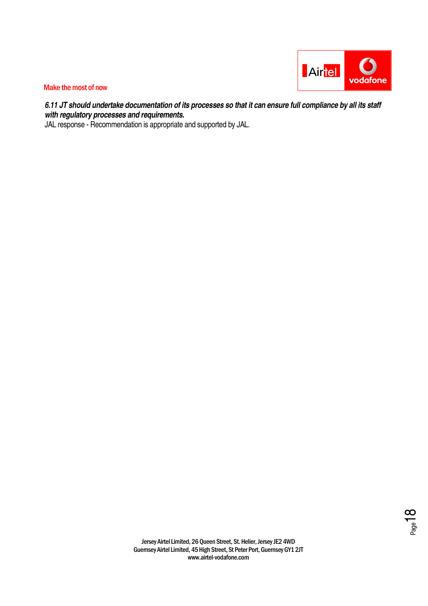

**6.11 JT should undertake documentation of its processes so that it can ensure full compliance by all its staff with regulatory processes and requirements.** 

JAL response - Recommendation is appropriate and supported by JAL.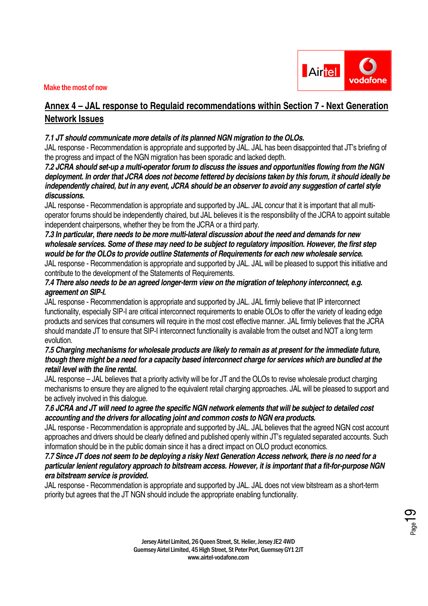

# **Annex 4 – JAL response to Regulaid recommendations within Section 7 - Next Generation Network Issues**

#### **7.1 JT should communicate more details of its planned NGN migration to the OLOs.**

JAL response - Recommendation is appropriate and supported by JAL. JAL has been disappointed that JT's briefing of the progress and impact of the NGN migration has been sporadic and lacked depth.

**7.2 JCRA should set-up a multi-operator forum to discuss the issues and opportunities flowing from the NGN deployment. In order that JCRA does not become fettered by decisions taken by this forum, it should ideally be independently chaired, but in any event, JCRA should be an observer to avoid any suggestion of cartel style discussions.** 

JAL response - Recommendation is appropriate and supported by JAL. JAL concur that it is important that all multioperator forums should be independently chaired, but JAL believes it is the responsibility of the JCRA to appoint suitable independent chairpersons, whether they be from the JCRA or a third party.

# **7.3 In particular, there needs to be more multi-lateral discussion about the need and demands for new wholesale services. Some of these may need to be subject to regulatory imposition. However, the first step would be for the OLOs to provide outline Statements of Requirements for each new wholesale service.**

JAL response - Recommendation is appropriate and supported by JAL. JAL will be pleased to support this initiative and contribute to the development of the Statements of Requirements.

#### **7.4 There also needs to be an agreed longer-term view on the migration of telephony interconnect, e.g. agreement on SIP-I.**

JAL response - Recommendation is appropriate and supported by JAL. JAL firmly believe that IP interconnect functionality, especially SIP-I are critical interconnect requirements to enable OLOs to offer the variety of leading edge products and services that consumers will require in the most cost effective manner. JAL firmly believes that the JCRA should mandate JT to ensure that SIP-I interconnect functionality is available from the outset and NOT a long term evolution.

#### **7.5 Charging mechanisms for wholesale products are likely to remain as at present for the immediate future, though there might be a need for a capacity based interconnect charge for services which are bundled at the retail level with the line rental.**

JAL response – JAL believes that a priority activity will be for JT and the OLOs to revise wholesale product charging mechanisms to ensure they are aligned to the equivalent retail charging approaches. JAL will be pleased to support and be actively involved in this dialogue.

#### **7.6 JCRA and JT will need to agree the specific NGN network elements that will be subject to detailed cost accounting and the drivers for allocating joint and common costs to NGN era products.**

JAL response - Recommendation is appropriate and supported by JAL. JAL believes that the agreed NGN cost account approaches and drivers should be clearly defined and published openly within JT's regulated separated accounts. Such information should be in the public domain since it has a direct impact on OLO product economics.

## **7.7 Since JT does not seem to be deploying a risky Next Generation Access network, there is no need for a particular lenient regulatory approach to bitstream access. However, it is important that a fit-for-purpose NGN era bitstream service is provided.**

JAL response - Recommendation is appropriate and supported by JAL. JAL does not view bitstream as a short-term priority but agrees that the JT NGN should include the appropriate enabling functionality.